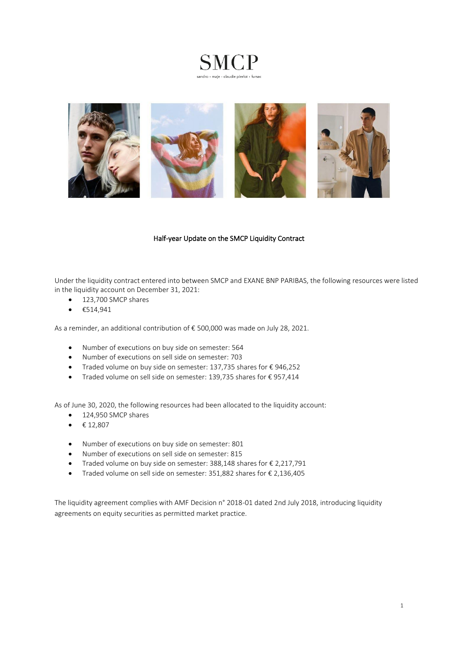



## Half-year Update on the SMCP Liquidity Contract

Under the liquidity contract entered into between SMCP and EXANE BNP PARIBAS, the following resources were listed in the liquidity account on December 31, 2021:

- 123,700 SMCP shares
- €514,941

As a reminder, an additional contribution of € 500,000 was made on July 28, 2021.

- Number of executions on buy side on semester: 564
- Number of executions on sell side on semester: 703
- Traded volume on buy side on semester: 137,735 shares for € 946,252
- Traded volume on sell side on semester: 139,735 shares for € 957,414

As of June 30, 2020, the following resources had been allocated to the liquidity account:

- 124,950 SMCP shares
- $€ 12,807$
- Number of executions on buy side on semester: 801
- Number of executions on sell side on semester: 815
- Traded volume on buy side on semester: 388,148 shares for € 2,217,791
- Traded volume on sell side on semester: 351,882 shares for € 2,136,405

The liquidity agreement complies with AMF Decision n° 2018-01 dated 2nd July 2018, introducing liquidity agreements on equity securities as permitted market practice.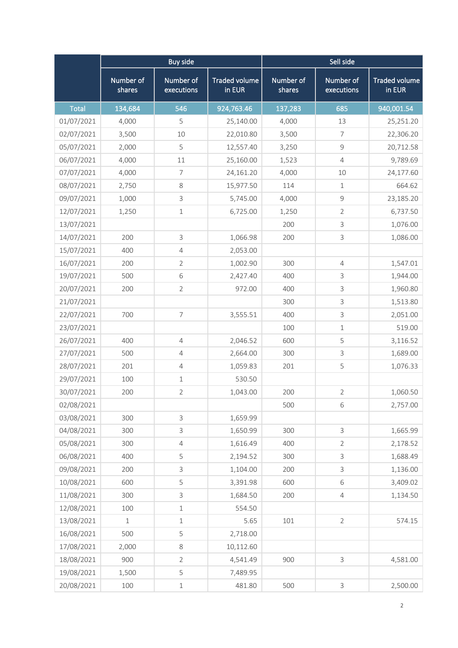|              | <b>Buy side</b><br>Sell side |                         |                                |                     |                         |                                |
|--------------|------------------------------|-------------------------|--------------------------------|---------------------|-------------------------|--------------------------------|
|              | Number of<br>shares          | Number of<br>executions | <b>Traded volume</b><br>in EUR | Number of<br>shares | Number of<br>executions | <b>Traded volume</b><br>in EUR |
| <b>Total</b> | 134,684                      | 546                     | 924,763.46                     | 137,283             | 685                     | 940,001.54                     |
| 01/07/2021   | 4,000                        | 5                       | 25,140.00                      | 4,000               | 13                      | 25,251.20                      |
| 02/07/2021   | 3,500                        | 10                      | 22,010.80                      | 3,500               | 7                       | 22,306.20                      |
| 05/07/2021   | 2,000                        | 5                       | 12,557.40                      | 3,250               | $\mathsf 9$             | 20,712.58                      |
| 06/07/2021   | 4,000                        | 11                      | 25,160.00                      | 1,523               | $\sqrt{4}$              | 9,789.69                       |
| 07/07/2021   | 4,000                        | $\overline{7}$          | 24,161.20                      | 4,000               | 10                      | 24,177.60                      |
| 08/07/2021   | 2,750                        | 8                       | 15,977.50                      | 114                 | $\mathbf{1}$            | 664.62                         |
| 09/07/2021   | 1,000                        | 3                       | 5,745.00                       | 4,000               | $\mathcal{G}$           | 23,185.20                      |
| 12/07/2021   | 1,250                        | $\mathbf 1$             | 6,725.00                       | 1,250               | $\overline{2}$          | 6,737.50                       |
| 13/07/2021   |                              |                         |                                | 200                 | $\mathsf 3$             | 1,076.00                       |
| 14/07/2021   | 200                          | 3                       | 1,066.98                       | 200                 | $\mathsf 3$             | 1,086.00                       |
| 15/07/2021   | 400                          | $\overline{4}$          | 2,053.00                       |                     |                         |                                |
| 16/07/2021   | 200                          | $\overline{2}$          | 1,002.90                       | 300                 | $\overline{4}$          | 1,547.01                       |
| 19/07/2021   | 500                          | 6                       | 2,427.40                       | 400                 | $\mathsf 3$             | 1,944.00                       |
| 20/07/2021   | 200                          | $\overline{2}$          | 972.00                         | 400                 | $\mathsf{3}$            | 1,960.80                       |
| 21/07/2021   |                              |                         |                                | 300                 | $\mathsf{3}$            | 1,513.80                       |
| 22/07/2021   | 700                          | $\overline{7}$          | 3,555.51                       | 400                 | $\mathsf{3}$            | 2,051.00                       |
| 23/07/2021   |                              |                         |                                | 100                 | $\mathbf{1}$            | 519.00                         |
| 26/07/2021   | 400                          | $\overline{4}$          | 2,046.52                       | 600                 | 5                       | 3,116.52                       |
| 27/07/2021   | 500                          | $\overline{4}$          | 2,664.00                       | 300                 | $\mathsf{3}$            | 1,689.00                       |
| 28/07/2021   | 201                          | $\overline{4}$          | 1,059.83                       | 201                 | 5                       | 1,076.33                       |
| 29/07/2021   | 100                          | $\mathbf{1}$            | 530.50                         |                     |                         |                                |
| 30/07/2021   | 200                          | $\overline{2}$          | 1,043.00                       | 200                 | $\overline{2}$          | 1,060.50                       |
| 02/08/2021   |                              |                         |                                | 500                 | $\,$ 6 $\,$             | 2,757.00                       |
| 03/08/2021   | 300                          | 3                       | 1,659.99                       |                     |                         |                                |
| 04/08/2021   | 300                          | 3                       | 1,650.99                       | 300                 | $\mathsf 3$             | 1,665.99                       |
| 05/08/2021   | 300                          | $\overline{4}$          | 1,616.49                       | 400                 | $\overline{2}$          | 2,178.52                       |
| 06/08/2021   | 400                          | 5                       | 2,194.52                       | 300                 | $\mathsf 3$             | 1,688.49                       |
| 09/08/2021   | 200                          | 3                       | 1,104.00                       | 200                 | $\mathsf 3$             | 1,136.00                       |
| 10/08/2021   | 600                          | 5                       | 3,391.98                       | 600                 | 6                       | 3,409.02                       |
| 11/08/2021   | 300                          | 3                       | 1,684.50                       | 200                 | $\sqrt{4}$              | 1,134.50                       |
| 12/08/2021   | 100                          | $\mathbf 1$             | 554.50                         |                     |                         |                                |
| 13/08/2021   | $1\,$                        | $\,1$                   | 5.65                           | 101                 | $\overline{2}$          | 574.15                         |
| 16/08/2021   | 500                          | 5                       | 2,718.00                       |                     |                         |                                |
| 17/08/2021   | 2,000                        | 8                       | 10,112.60                      |                     |                         |                                |
| 18/08/2021   | 900                          | $\overline{2}$          | 4,541.49                       | 900                 | $\mathsf 3$             | 4,581.00                       |
| 19/08/2021   | 1,500                        | 5                       | 7,489.95                       |                     |                         |                                |
| 20/08/2021   | 100                          | $\mathbf 1$             | 481.80                         | 500                 | $\mathsf 3$             | 2,500.00                       |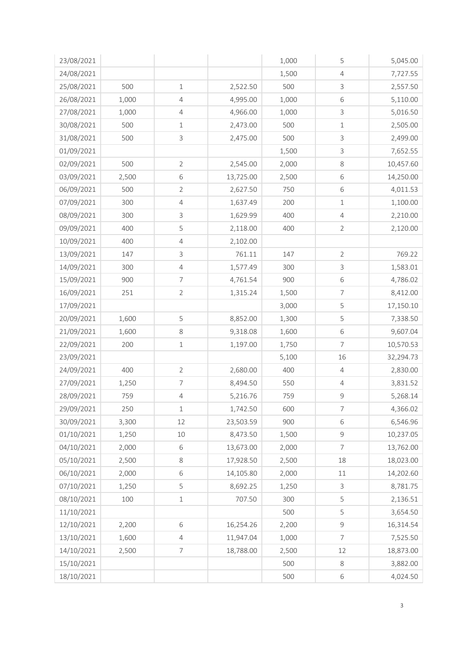| 23/08/2021 |       |                |           | 1,000 | 5                         | 5,045.00  |
|------------|-------|----------------|-----------|-------|---------------------------|-----------|
| 24/08/2021 |       |                |           | 1,500 | $\sqrt{4}$                | 7,727.55  |
| 25/08/2021 | 500   | $\,1\,$        | 2,522.50  | 500   | 3                         | 2,557.50  |
| 26/08/2021 | 1,000 | $\overline{4}$ | 4,995.00  | 1,000 | 6                         | 5,110.00  |
| 27/08/2021 | 1,000 | $\overline{4}$ | 4,966.00  | 1,000 | $\ensuremath{\mathsf{3}}$ | 5,016.50  |
| 30/08/2021 | 500   | $\mathbf{1}$   | 2,473.00  | 500   | $\,1$                     | 2,505.00  |
| 31/08/2021 | 500   | $\mathsf{3}$   | 2,475.00  | 500   | 3                         | 2,499.00  |
| 01/09/2021 |       |                |           | 1,500 | 3                         | 7,652.55  |
| 02/09/2021 | 500   | $\overline{2}$ | 2,545.00  | 2,000 | $\,8\,$                   | 10,457.60 |
| 03/09/2021 | 2,500 | 6              | 13,725.00 | 2,500 | $\,$ 6 $\,$               | 14,250.00 |
| 06/09/2021 | 500   | $\overline{2}$ | 2,627.50  | 750   | 6                         | 4,011.53  |
| 07/09/2021 | 300   | $\overline{4}$ | 1,637.49  | 200   | $\,1$                     | 1,100.00  |
| 08/09/2021 | 300   | $\mathsf{3}$   | 1,629.99  | 400   | $\sqrt{4}$                | 2,210.00  |
| 09/09/2021 | 400   | 5              | 2,118.00  | 400   | $\overline{2}$            | 2,120.00  |
| 10/09/2021 | 400   | $\overline{4}$ | 2,102.00  |       |                           |           |
| 13/09/2021 | 147   | $\mathsf 3$    | 761.11    | 147   | $\overline{2}$            | 769.22    |
| 14/09/2021 | 300   | $\overline{4}$ | 1,577.49  | 300   | 3                         | 1,583.01  |
| 15/09/2021 | 900   | $\overline{7}$ | 4,761.54  | 900   | 6                         | 4,786.02  |
| 16/09/2021 | 251   | $\overline{2}$ | 1,315.24  | 1,500 | 7                         | 8,412.00  |
| 17/09/2021 |       |                |           | 3,000 | 5                         | 17,150.10 |
| 20/09/2021 | 1,600 | 5              | 8,852.00  | 1,300 | 5                         | 7,338.50  |
| 21/09/2021 | 1,600 | $\,8\,$        | 9,318.08  | 1,600 | $\,$ 6 $\,$               | 9,607.04  |
| 22/09/2021 | 200   | $\,1\,$        | 1,197.00  | 1,750 | $\overline{7}$            | 10,570.53 |
| 23/09/2021 |       |                |           | 5,100 | 16                        | 32,294.73 |
| 24/09/2021 | 400   | $\overline{2}$ | 2,680.00  | 400   | $\overline{4}$            | 2,830.00  |
| 27/09/2021 | 1,250 | $\overline{7}$ | 8,494.50  | 550   | 4                         | 3,831.52  |
| 28/09/2021 | 759   | $\overline{4}$ | 5,216.76  | 759   | $\mathcal{G}$             | 5,268.14  |
| 29/09/2021 | 250   | $1\,$          | 1,742.50  | 600   | $\overline{7}$            | 4,366.02  |
| 30/09/2021 | 3,300 | 12             | 23,503.59 | 900   | $\,$ 6 $\,$               | 6,546.96  |
| 01/10/2021 | 1,250 | 10             | 8,473.50  | 1,500 | $\mathsf 9$               | 10,237.05 |
| 04/10/2021 | 2,000 | 6              | 13,673.00 | 2,000 | $\overline{7}$            | 13,762.00 |
| 05/10/2021 | 2,500 | 8              | 17,928.50 | 2,500 | 18                        | 18,023.00 |
| 06/10/2021 | 2,000 | 6              | 14,105.80 | 2,000 | 11                        | 14,202.60 |
| 07/10/2021 | 1,250 | 5              | 8,692.25  | 1,250 | 3                         | 8,781.75  |
| 08/10/2021 | 100   | $\,1$          | 707.50    | 300   | 5                         | 2,136.51  |
| 11/10/2021 |       |                |           | 500   | 5                         | 3,654.50  |
| 12/10/2021 | 2,200 | 6              | 16,254.26 | 2,200 | $\mathsf 9$               | 16,314.54 |
| 13/10/2021 | 1,600 | $\overline{4}$ | 11,947.04 | 1,000 | 7                         | 7,525.50  |
| 14/10/2021 | 2,500 | $\overline{7}$ | 18,788.00 | 2,500 | 12                        | 18,873.00 |
| 15/10/2021 |       |                |           | 500   | 8                         | 3,882.00  |
| 18/10/2021 |       |                |           | 500   | 6                         | 4,024.50  |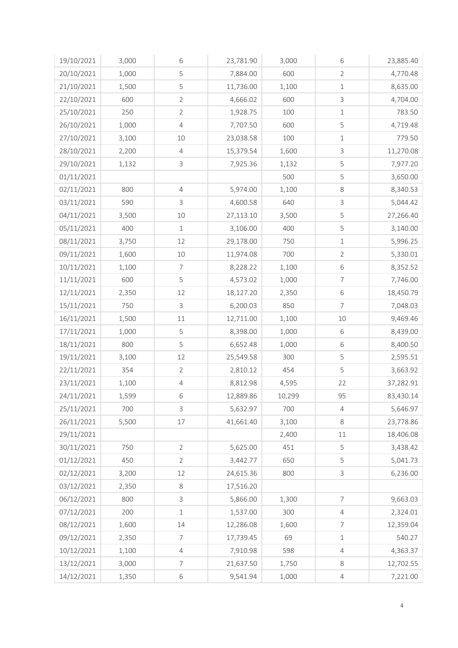| 19/10/2021 | 3,000 | 6              | 23,781.90 | 3,000  | 6              | 23,885.40 |
|------------|-------|----------------|-----------|--------|----------------|-----------|
| 20/10/2021 | 1,000 | 5              | 7,884.00  | 600    | $\overline{2}$ | 4,770.48  |
| 21/10/2021 | 1,500 | 5              | 11,736.00 | 1,100  | $1\,$          | 8,635.00  |
| 22/10/2021 | 600   | $\overline{2}$ | 4,666.02  | 600    | 3              | 4,704.00  |
| 25/10/2021 | 250   | $\overline{2}$ | 1,928.75  | 100    | $\,1$          | 783.50    |
| 26/10/2021 | 1,000 | $\overline{4}$ | 7,707.50  | 600    | 5              | 4,719.48  |
| 27/10/2021 | 3,100 | $10$           | 23,038.58 | 100    | $\,1\,$        | 779.50    |
| 28/10/2021 | 2,200 | $\overline{4}$ | 15,379.54 | 1,600  | 3              | 11,270.08 |
| 29/10/2021 | 1,132 | $\mathsf{3}$   | 7,925.36  | 1,132  | 5              | 7,977.20  |
| 01/11/2021 |       |                |           | 500    | 5              | 3,650.00  |
| 02/11/2021 | 800   | 4              | 5,974.00  | 1,100  | $\,8\,$        | 8,340.53  |
| 03/11/2021 | 590   | $\mathsf 3$    | 4,600.58  | 640    | $\mathsf 3$    | 5,044.42  |
| 04/11/2021 | 3,500 | 10             | 27,113.10 | 3,500  | 5              | 27,266.40 |
| 05/11/2021 | 400   | $\mathbf{1}$   | 3,106.00  | 400    | 5              | 3,140.00  |
| 08/11/2021 | 3,750 | 12             | 29,178.00 | 750    | $1\,$          | 5,996.25  |
| 09/11/2021 | 1,600 | 10             | 11,974.08 | 700    | $\overline{2}$ | 5,330.01  |
| 10/11/2021 | 1,100 | $\overline{7}$ | 8,228.22  | 1,100  | $\,$ 6 $\,$    | 8,352.52  |
| 11/11/2021 | 600   | 5              | 4,573.02  | 1,000  | $\overline{7}$ | 7,746.00  |
| 12/11/2021 | 2,350 | 12             | 18,127.20 | 2,350  | 6              | 18,450.79 |
| 15/11/2021 | 750   | $\mathsf 3$    | 6,200.03  | 850    | $\overline{7}$ | 7,048.03  |
| 16/11/2021 | 1,500 | 11             | 12,711.00 | 1,100  | $10\,$         | 9,469.46  |
| 17/11/2021 | 1,000 | 5              | 8,398.00  | 1,000  | $\,$ 6 $\,$    | 8,439.00  |
| 18/11/2021 | 800   | 5              | 6,652.48  | 1,000  | 6              | 8,400.50  |
| 19/11/2021 | 3,100 | 12             | 25,549.58 | 300    | 5              | 2,595.51  |
| 22/11/2021 | 354   | $\overline{2}$ | 2,810.12  | 454    | 5              | 3,663.92  |
| 23/11/2021 | 1,100 | $\overline{4}$ | 8,812.98  | 4,595  | 22             | 37,282.91 |
| 24/11/2021 | 1,599 | 6              | 12,889.86 | 10,299 | 95             | 83,430.14 |
| 25/11/2021 | 700   | $\mathsf{3}$   | 5,632.97  | 700    | $\overline{4}$ | 5,646.97  |
| 26/11/2021 | 5,500 | 17             | 41,661.40 | 3,100  | $\,8\,$        | 23,778.86 |
| 29/11/2021 |       |                |           | 2,400  | 11             | 18,406.08 |
| 30/11/2021 | 750   | $\overline{2}$ | 5,625.00  | 451    | 5              | 3,438.42  |
| 01/12/2021 | 450   | $\overline{2}$ | 3,442.77  | 650    | 5              | 5,041.73  |
| 02/12/2021 | 3,200 | 12             | 24,615.36 | 800    | 3              | 6,236.00  |
| 03/12/2021 | 2,350 | 8              | 17,516.20 |        |                |           |
| 06/12/2021 | 800   | 3              | 5,866.00  | 1,300  | $\overline{7}$ | 9,663.03  |
| 07/12/2021 | 200   | $1\,$          | 1,537.00  | 300    | $\sqrt{4}$     | 2,324.01  |
| 08/12/2021 | 1,600 | 14             | 12,286.08 | 1,600  | $\overline{7}$ | 12,359.04 |
| 09/12/2021 | 2,350 | $\overline{7}$ | 17,739.45 | 69     | $\mathbf 1$    | 540.27    |
| 10/12/2021 | 1,100 | $\overline{4}$ | 7,910.98  | 598    | $\overline{4}$ | 4,363.37  |
| 13/12/2021 | 3,000 | $\overline{7}$ | 21,637.50 | 1,750  | 8              | 12,702.55 |
| 14/12/2021 | 1,350 | $\,$ 6 $\,$    | 9,541.94  | 1,000  | $\overline{4}$ | 7,221.00  |